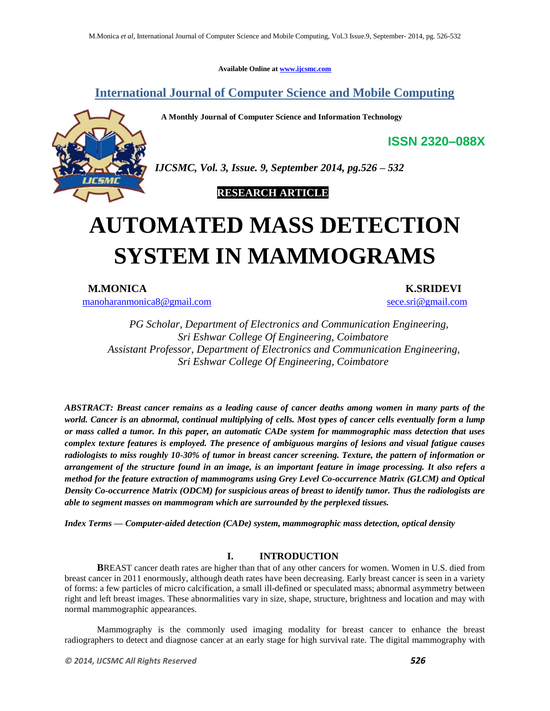**Available Online at www.ijcsmc.com**

**International Journal of Computer Science and Mobile Computing**

 **A Monthly Journal of Computer Science and Information Technology**



*IJCSMC, Vol. 3, Issue. 9, September 2014, pg.526 – 532*

 **RESEARCH ARTICLE**

# **AUTOMATED MASS DETECTION SYSTEM IN MAMMOGRAMS**

manoharanmonica8@gmail.com sece.sri@gmail.com

**M.MONICA K.SRIDEVI**

**ISSN 2320–088X**

*PG Scholar, Department of Electronics and Communication Engineering, Sri Eshwar College Of Engineering, Coimbatore Assistant Professor, Department of Electronics and Communication Engineering, Sri Eshwar College Of Engineering, Coimbatore*

*ABSTRACT: Breast cancer remains as a leading cause of cancer deaths among women in many parts of the world. Cancer is an abnormal, continual multiplying of cells. Most types of cancer cells eventually form a lump or mass called a tumor. In this paper, an automatic CADe system for mammographic mass detection that uses complex texture features is employed. The presence of ambiguous margins of lesions and visual fatigue causes radiologists to miss roughly 10-30% of tumor in breast cancer screening. Texture, the pattern of information or arrangement of the structure found in an image, is an important feature in image processing. It also refers a method for the feature extraction of mammograms using Grey Level Co-occurrence Matrix (GLCM) and Optical Density Co-occurrence Matrix (ODCM) for suspicious areas of breast to identify tumor. Thus the radiologists are able to segment masses on mammogram which are surrounded by the perplexed tissues.*

*Index Terms — Computer-aided detection (CADe) system, mammographic mass detection, optical density*

# **I. INTRODUCTION**

**B**REAST cancer death rates are higher than that of any other cancers for women. Women in U.S. died from breast cancer in 2011 enormously, although death rates have been decreasing. Early breast cancer is seen in a variety of forms: a few particles of micro calcification, a small ill-defined or speculated mass; abnormal asymmetry between right and left breast images. These abnormalities vary in size, shape, structure, brightness and location and may with normal mammographic appearances.

Mammography is the commonly used imaging modality for breast cancer to enhance the breast radiographers to detect and diagnose cancer at an early stage for high survival rate. The digital mammography with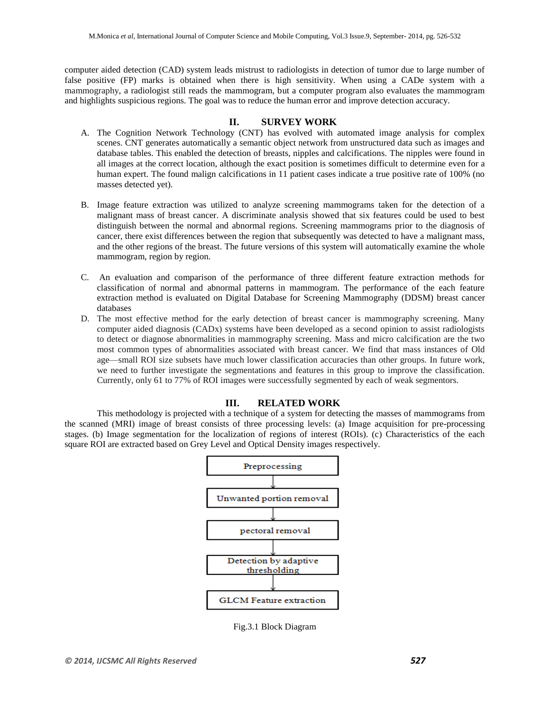computer aided detection (CAD) system leads mistrust to radiologists in detection of tumor due to large number of false positive (FP) marks is obtained when there is high sensitivity. When using a CADe system with a mammography, a radiologist still reads the mammogram, but a computer program also evaluates the mammogram and highlights suspicious regions. The goal was to reduce the human error and improve detection accuracy.

## **II. SURVEY WORK**

- A. The Cognition Network Technology (CNT) has evolved with automated image analysis for complex scenes. CNT generates automatically a semantic object network from unstructured data such as images and database tables. This enabled the detection of breasts, nipples and calcifications. The nipples were found in all images at the correct location, although the exact position is sometimes difficult to determine even for a human expert. The found malign calcifications in 11 patient cases indicate a true positive rate of 100% (no masses detected yet).
- B. Image feature extraction was utilized to analyze screening mammograms taken for the detection of a malignant mass of breast cancer. A discriminate analysis showed that six features could be used to best distinguish between the normal and abnormal regions. Screening mammograms prior to the diagnosis of cancer, there exist differences between the region that subsequently was detected to have a malignant mass, and the other regions of the breast. The future versions of this system will automatically examine the whole mammogram, region by region.
- C. An evaluation and comparison of the performance of three different feature extraction methods for classification of normal and abnormal patterns in mammogram. The performance of the each feature extraction method is evaluated on Digital Database for Screening Mammography (DDSM) breast cancer databases
- D. The most effective method for the early detection of breast cancer is mammography screening. Many computer aided diagnosis (CADx) systems have been developed as a second opinion to assist radiologists to detect or diagnose abnormalities in mammography screening. Mass and micro calcification are the two most common types of abnormalities associated with breast cancer. We find that mass instances of Old age—small ROI size subsets have much lower classification accuracies than other groups. In future work, we need to further investigate the segmentations and features in this group to improve the classification. Currently, only 61 to 77% of ROI images were successfully segmented by each of weak segmentors.

# **III. RELATED WORK**

This methodology is projected with a technique of a system for detecting the masses of mammograms from the scanned (MRI) image of breast consists of three processing levels: (a) Image acquisition for pre-processing stages. (b) Image segmentation for the localization of regions of interest (ROIs). (c) Characteristics of the each square ROI are extracted based on Grey Level and Optical Density images respectively.



Fig.3.1 Block Diagram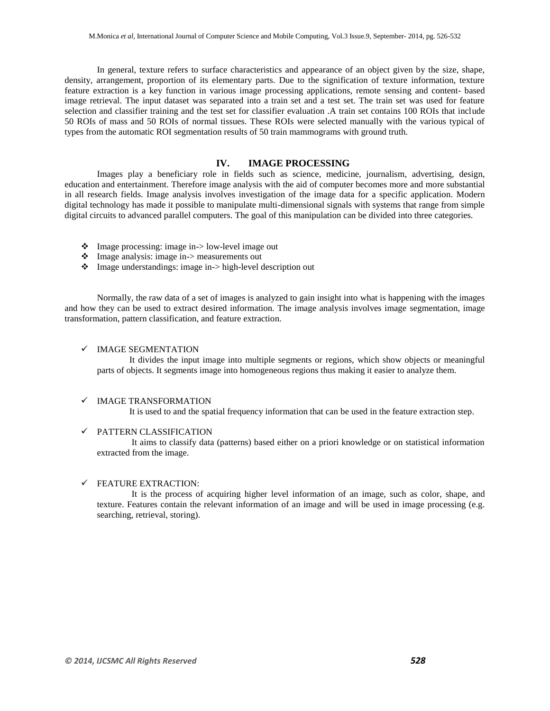In general, texture refers to surface characteristics and appearance of an object given by the size, shape, density, arrangement, proportion of its elementary parts. Due to the signification of texture information, texture feature extraction is a key function in various image processing applications, remote sensing and content- based image retrieval. The input dataset was separated into a train set and a test set. The train set was used for feature selection and classifier training and the test set for classifier evaluation .A train set contains 100 ROIs that include 50 ROIs of mass and 50 ROIs of normal tissues. These ROIs were selected manually with the various typical of types from the automatic ROI segmentation results of 50 train mammograms with ground truth.

#### **IV. IMAGE PROCESSING**

Images play a beneficiary role in fields such as science, medicine, journalism, advertising, design, education and entertainment. Therefore image analysis with the aid of computer becomes more and more substantial in all research fields. Image analysis involves investigation of the image data for a specific application. Modern digital technology has made it possible to manipulate multi-dimensional signals with systems that range from simple digital circuits to advanced parallel computers. The goal of this manipulation can be divided into three categories.

- $\cdot \cdot$  Image processing: image in- $>$  low-level image out
- Image analysis: image in-> measurements out
- Image understandings: image in-> high-level description out

Normally, the raw data of a set of images is analyzed to gain insight into what is happening with the images and how they can be used to extract desired information. The image analysis involves image segmentation, image transformation, pattern classification, and feature extraction.

#### $\checkmark$  IMAGE SEGMENTATION

It divides the input image into multiple segments or regions, which show objects or meaningful parts of objects. It segments image into homogeneous regions thus making it easier to analyze them.

#### $\checkmark$  IMAGE TRANSFORMATION

It is used to and the spatial frequency information that can be used in the feature extraction step.

#### $\checkmark$  PATTERN CLASSIFICATION

It aims to classify data (patterns) based either on a priori knowledge or on statistical information extracted from the image.

#### $\checkmark$  FEATURE EXTRACTION:

It is the process of acquiring higher level information of an image, such as color, shape, and texture. Features contain the relevant information of an image and will be used in image processing (e.g. searching, retrieval, storing).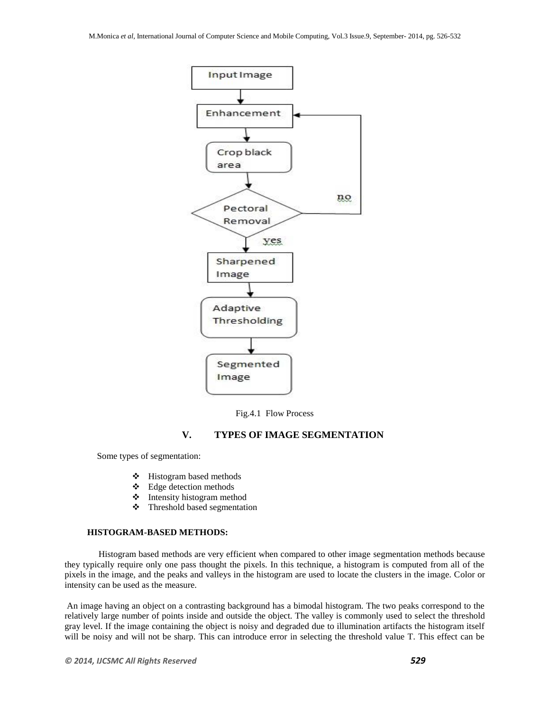

Fig.4.1 Flow Process

# **V. TYPES OF IMAGE SEGMENTATION**

Some types of segmentation:

- $\div$  Histogram based methods
- Edge detection methods
- $\triangleleft$  Intensity histogram method
- Threshold based segmentation

## **HISTOGRAM-BASED METHODS:**

 Histogram based methods are very efficient when compared to other image segmentation methods because they typically require only one pass thought the pixels. In this technique, a histogram is computed from all of the pixels in the image, and the peaks and valleys in the histogram are used to locate the clusters in the image. Color or intensity can be used as the measure.

An image having an object on a contrasting background has a bimodal histogram. The two peaks correspond to the relatively large number of points inside and outside the object. The valley is commonly used to select the threshold gray level. If the image containing the object is noisy and degraded due to illumination artifacts the histogram itself will be noisy and will not be sharp. This can introduce error in selecting the threshold value T. This effect can be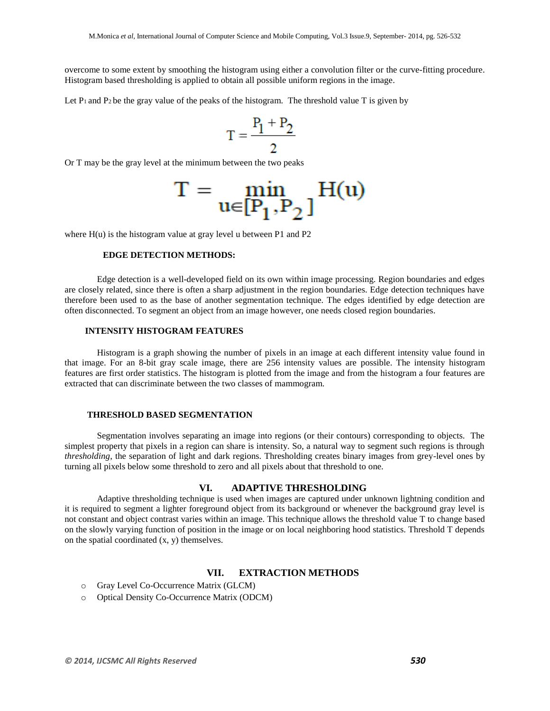overcome to some extent by smoothing the histogram using either a convolution filter or the curve-fitting procedure. Histogram based thresholding is applied to obtain all possible uniform regions in the image.

Let  $P_1$  and  $P_2$  be the gray value of the peaks of the histogram. The threshold value T is given by

$$
T = \frac{P_1 + P_2}{2}
$$

Or T may be the gray level at the minimum between the two peaks

$$
T = \min_{u \in [P_1, P_2]} H(u)
$$

where  $H(u)$  is the histogram value at gray level u between P1 and P2

# **EDGE DETECTION METHODS:**

Edge detection is a well-developed field on its own within image processing. Region boundaries and edges are closely related, since there is often a sharp adjustment in the region boundaries. Edge detection techniques have therefore been used to as the base of another segmentation technique. The edges identified by edge detection are often disconnected. To segment an object from an image however, one needs closed region boundaries.

### **INTENSITY HISTOGRAM FEATURES**

Histogram is a graph showing the number of pixels in an image at each different intensity value found in that image. For an 8-bit gray scale image, there are 256 intensity values are possible. The intensity histogram features are first order statistics. The histogram is plotted from the image and from the histogram a four features are extracted that can discriminate between the two classes of mammogram.

## **THRESHOLD BASED SEGMENTATION**

Segmentation involves separating an image into regions (or their contours) corresponding to objects. The simplest property that pixels in a region can share is intensity. So, a natural way to segment such regions is through *thresholding*, the separation of light and dark regions. Thresholding creates binary images from grey-level ones by turning all pixels below some threshold to zero and all pixels about that threshold to one.

#### **VI. ADAPTIVE THRESHOLDING**

Adaptive thresholding technique is used when images are captured under unknown lightning condition and it is required to segment a lighter foreground object from its background or whenever the background gray level is not constant and object contrast varies within an image. This technique allows the threshold value T to change based on the slowly varying function of position in the image or on local neighboring hood statistics. Threshold T depends on the spatial coordinated (x, y) themselves.

# **VII. EXTRACTION METHODS**

- o Gray Level Co-Occurrence Matrix (GLCM)
- o Optical Density Co-Occurrence Matrix (ODCM)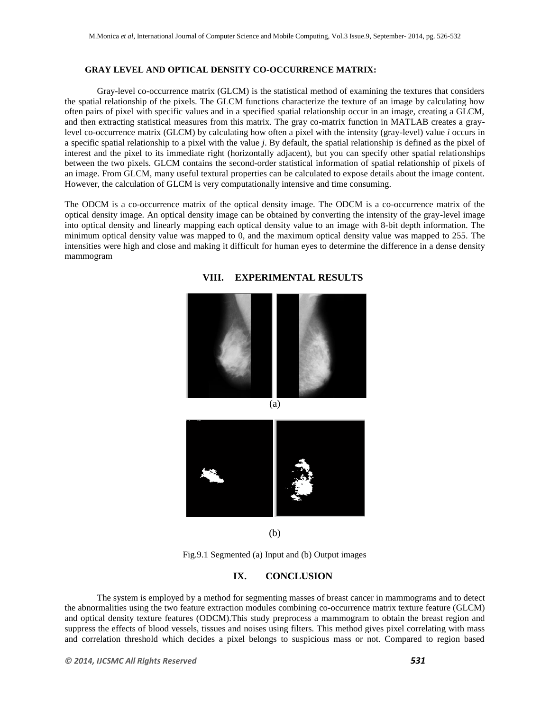# **GRAY LEVEL AND OPTICAL DENSITY CO-OCCURRENCE MATRIX:**

Gray-level co-occurrence matrix (GLCM) is the statistical method of examining the textures that considers the spatial relationship of the pixels. The GLCM functions characterize the texture of an image by calculating how often pairs of pixel with specific values and in a specified spatial relationship occur in an image, creating a GLCM, and then extracting statistical measures from this matrix. The gray co-matrix function in MATLAB creates a graylevel co-occurrence matrix (GLCM) by calculating how often a pixel with the intensity (gray-level) value *i* occurs in a specific spatial relationship to a pixel with the value *j*. By default, the spatial relationship is defined as the pixel of interest and the pixel to its immediate right (horizontally adjacent), but you can specify other spatial relationships between the two pixels. GLCM contains the second-order statistical information of spatial relationship of pixels of an image. From GLCM, many useful textural properties can be calculated to expose details about the image content. However, the calculation of GLCM is very computationally intensive and time consuming.

The ODCM is a co-occurrence matrix of the optical density image. The ODCM is a co-occurrence matrix of the optical density image. An optical density image can be obtained by converting the intensity of the gray-level image into optical density and linearly mapping each optical density value to an image with 8-bit depth information. The minimum optical density value was mapped to 0, and the maximum optical density value was mapped to 255. The intensities were high and close and making it difficult for human eyes to determine the difference in a dense density mammogram



### **VIII. EXPERIMENTAL RESULTS**

(b)

Fig.9.1 Segmented (a) Input and (b) Output images

#### **IX. CONCLUSION**

The system is employed by a method for segmenting masses of breast cancer in mammograms and to detect the abnormalities using the two feature extraction modules combining co-occurrence matrix texture feature (GLCM) and optical density texture features (ODCM).This study preprocess a mammogram to obtain the breast region and suppress the effects of blood vessels, tissues and noises using filters. This method gives pixel correlating with mass and correlation threshold which decides a pixel belongs to suspicious mass or not. Compared to region based